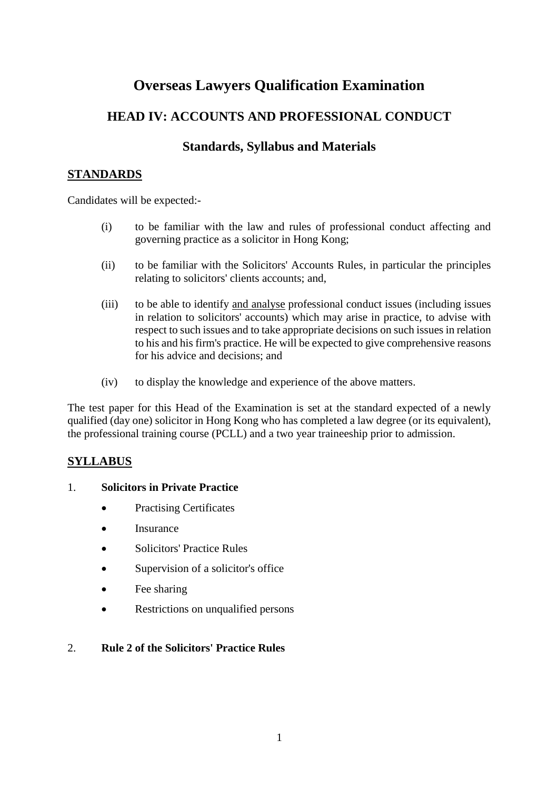# **Overseas Lawyers Qualification Examination**

## **HEAD IV: ACCOUNTS AND PROFESSIONAL CONDUCT**

## **Standards, Syllabus and Materials**

## **STANDARDS**

Candidates will be expected:-

- (i) to be familiar with the law and rules of professional conduct affecting and governing practice as a solicitor in Hong Kong;
- (ii) to be familiar with the Solicitors' Accounts Rules, in particular the principles relating to solicitors' clients accounts; and,
- (iii) to be able to identify and analyse professional conduct issues (including issues in relation to solicitors' accounts) which may arise in practice, to advise with respect to such issues and to take appropriate decisions on such issues in relation to his and his firm's practice. He will be expected to give comprehensive reasons for his advice and decisions; and
- (iv) to display the knowledge and experience of the above matters.

The test paper for this Head of the Examination is set at the standard expected of a newly qualified (day one) solicitor in Hong Kong who has completed a law degree (or its equivalent), the professional training course (PCLL) and a two year traineeship prior to admission.

## **SYLLABUS**

#### 1. **Solicitors in Private Practice**

- Practising Certificates
- Insurance
- Solicitors' Practice Rules
- Supervision of a solicitor's office
- Fee sharing
- Restrictions on unqualified persons

#### 2. **Rule 2 of the Solicitors' Practice Rules**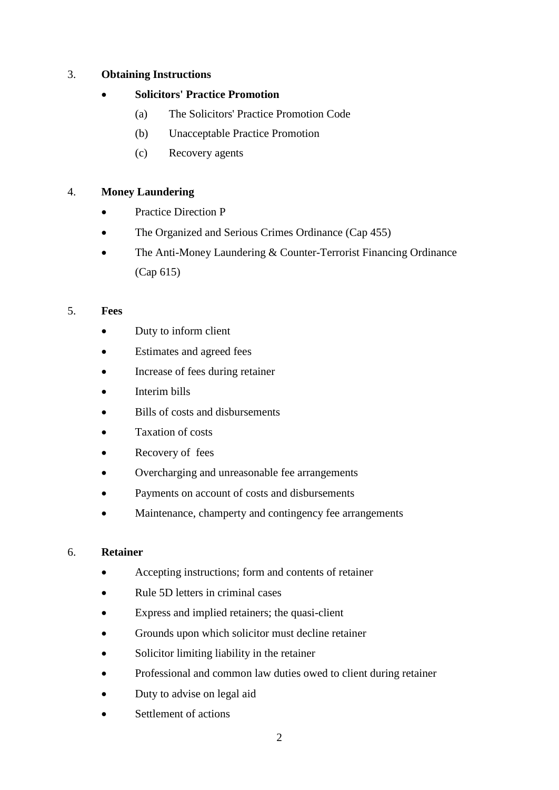#### 3. **Obtaining Instructions**

#### • **Solicitors' Practice Promotion**

- (a) The Solicitors' Practice Promotion Code
- (b) Unacceptable Practice Promotion
- (c) Recovery agents

#### 4. **Money Laundering**

- Practice Direction P
- The Organized and Serious Crimes Ordinance (Cap 455)
- The Anti-Money Laundering & Counter-Terrorist Financing Ordinance (Cap 615)

#### 5. **Fees**

- Duty to inform client
- Estimates and agreed fees
- Increase of fees during retainer
- Interim bills
- Bills of costs and disbursements
- Taxation of costs
- Recovery of fees
- Overcharging and unreasonable fee arrangements
- Payments on account of costs and disbursements
- Maintenance, champerty and contingency fee arrangements

#### 6. **Retainer**

- Accepting instructions; form and contents of retainer
- Rule 5D letters in criminal cases
- Express and implied retainers; the quasi-client
- Grounds upon which solicitor must decline retainer
- Solicitor limiting liability in the retainer
- Professional and common law duties owed to client during retainer
- Duty to advise on legal aid
- Settlement of actions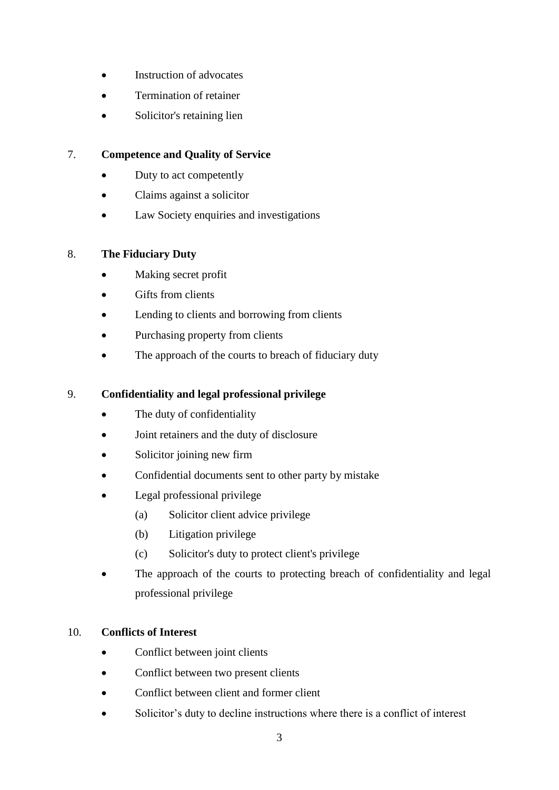- Instruction of advocates
- Termination of retainer
- Solicitor's retaining lien

### 7. **Competence and Quality of Service**

- Duty to act competently
- Claims against a solicitor
- Law Society enquiries and investigations

#### 8. **The Fiduciary Duty**

- Making secret profit
- Gifts from clients
- Lending to clients and borrowing from clients
- Purchasing property from clients
- The approach of the courts to breach of fiduciary duty

#### 9. **Confidentiality and legal professional privilege**

- The duty of confidentiality
- Joint retainers and the duty of disclosure
- Solicitor joining new firm
- Confidential documents sent to other party by mistake
- Legal professional privilege
	- (a) Solicitor client advice privilege
	- (b) Litigation privilege
	- (c) Solicitor's duty to protect client's privilege
- The approach of the courts to protecting breach of confidentiality and legal professional privilege

#### 10. **Conflicts of Interest**

- Conflict between joint clients
- Conflict between two present clients
- Conflict between client and former client
- Solicitor's duty to decline instructions where there is a conflict of interest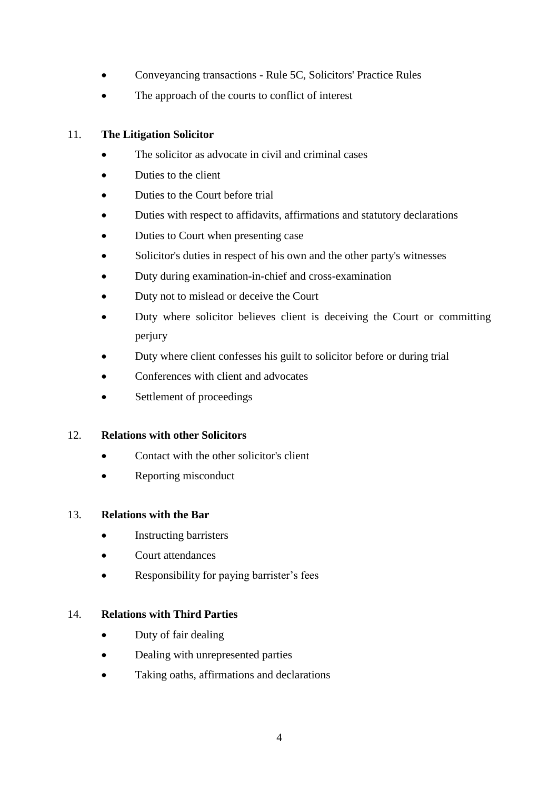- Conveyancing transactions Rule 5C, Solicitors' Practice Rules
- The approach of the courts to conflict of interest

## 11. **The Litigation Solicitor**

- The solicitor as advocate in civil and criminal cases
- Duties to the client
- Duties to the Court before trial
- Duties with respect to affidavits, affirmations and statutory declarations
- Duties to Court when presenting case
- Solicitor's duties in respect of his own and the other party's witnesses
- Duty during examination-in-chief and cross-examination
- Duty not to mislead or deceive the Court
- Duty where solicitor believes client is deceiving the Court or committing perjury
- Duty where client confesses his guilt to solicitor before or during trial
- Conferences with client and advocates
- Settlement of proceedings

## 12. **Relations with other Solicitors**

- Contact with the other solicitor's client
- Reporting misconduct

#### 13. **Relations with the Bar**

- Instructing barristers
- Court attendances
- Responsibility for paying barrister's fees

## 14. **Relations with Third Parties**

- Duty of fair dealing
- Dealing with unrepresented parties
- Taking oaths, affirmations and declarations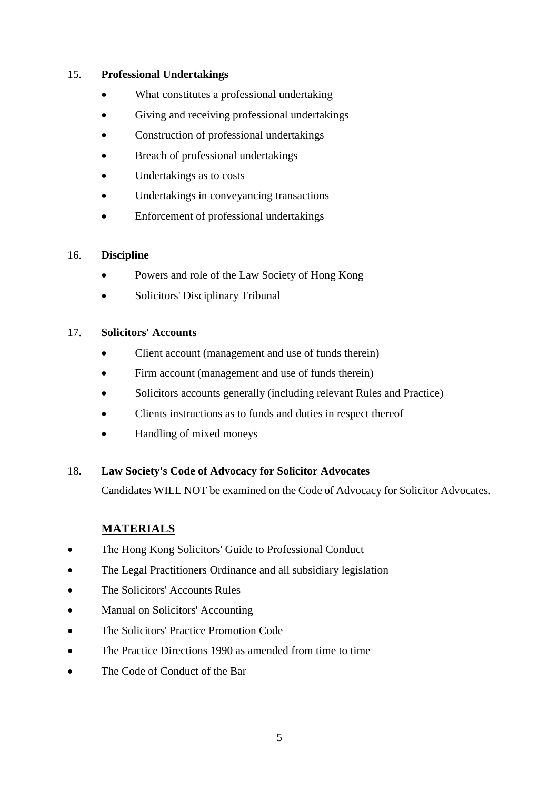#### 15. **Professional Undertakings**

- What constitutes a professional undertaking
- Giving and receiving professional undertakings
- Construction of professional undertakings
- Breach of professional undertakings
- Undertakings as to costs
- Undertakings in conveyancing transactions
- Enforcement of professional undertakings

#### 16. **Discipline**

- Powers and role of the Law Society of Hong Kong
- Solicitors' Disciplinary Tribunal

#### 17. **Solicitors' Accounts**

- Client account (management and use of funds therein)
- Firm account (management and use of funds therein)
- Solicitors accounts generally (including relevant Rules and Practice)
- Clients instructions as to funds and duties in respect thereof
- Handling of mixed moneys

#### 18. **Law Society's Code of Advocacy for Solicitor Advocates**

Candidates WILL NOT be examined on the Code of Advocacy for Solicitor Advocates.

## **MATERIALS**

- The Hong Kong Solicitors' Guide to Professional Conduct
- The Legal Practitioners Ordinance and all subsidiary legislation
- The Solicitors' Accounts Rules
- Manual on Solicitors' Accounting
- The Solicitors' Practice Promotion Code
- The Practice Directions 1990 as amended from time to time
- The Code of Conduct of the Bar